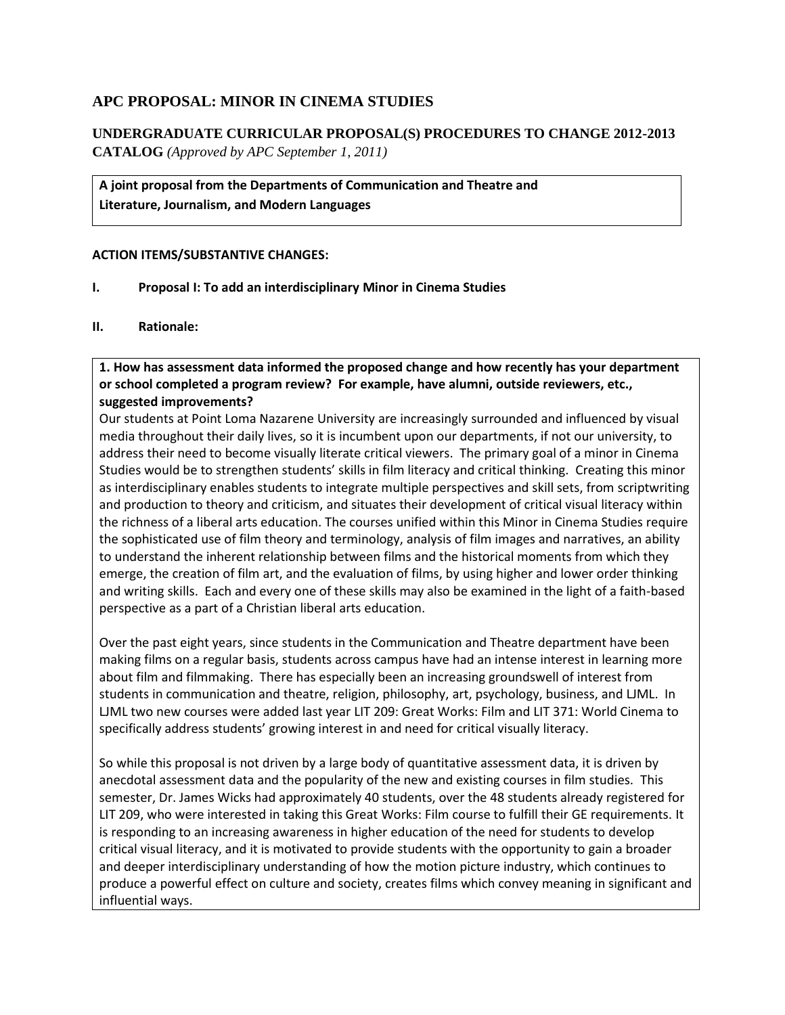# **APC PROPOSAL: MINOR IN CINEMA STUDIES**

**UNDERGRADUATE CURRICULAR PROPOSAL(S) PROCEDURES TO CHANGE 2012-2013 CATALOG** *(Approved by APC September 1, 2011)*

**A joint proposal from the Departments of Communication and Theatre and Literature, Journalism, and Modern Languages**

## **ACTION ITEMS/SUBSTANTIVE CHANGES:**

- **I. Proposal I: To add an interdisciplinary Minor in Cinema Studies**
- **II. Rationale:**

**1. How has assessment data informed the proposed change and how recently has your department or school completed a program review? For example, have alumni, outside reviewers, etc., suggested improvements?** 

Our students at Point Loma Nazarene University are increasingly surrounded and influenced by visual media throughout their daily lives, so it is incumbent upon our departments, if not our university, to address their need to become visually literate critical viewers. The primary goal of a minor in Cinema Studies would be to strengthen students' skills in film literacy and critical thinking. Creating this minor as interdisciplinary enables students to integrate multiple perspectives and skill sets, from scriptwriting and production to theory and criticism, and situates their development of critical visual literacy within the richness of a liberal arts education. The courses unified within this Minor in Cinema Studies require the sophisticated use of film theory and terminology, analysis of film images and narratives, an ability to understand the inherent relationship between films and the historical moments from which they emerge, the creation of film art, and the evaluation of films, by using higher and lower order thinking and writing skills. Each and every one of these skills may also be examined in the light of a faith-based perspective as a part of a Christian liberal arts education.

Over the past eight years, since students in the Communication and Theatre department have been making films on a regular basis, students across campus have had an intense interest in learning more about film and filmmaking. There has especially been an increasing groundswell of interest from students in communication and theatre, religion, philosophy, art, psychology, business, and LJML. In LJML two new courses were added last year LIT 209: Great Works: Film and LIT 371: World Cinema to specifically address students' growing interest in and need for critical visually literacy.

So while this proposal is not driven by a large body of quantitative assessment data, it is driven by anecdotal assessment data and the popularity of the new and existing courses in film studies. This semester, Dr. James Wicks had approximately 40 students, over the 48 students already registered for LIT 209, who were interested in taking this Great Works: Film course to fulfill their GE requirements. It is responding to an increasing awareness in higher education of the need for students to develop critical visual literacy, and it is motivated to provide students with the opportunity to gain a broader and deeper interdisciplinary understanding of how the motion picture industry, which continues to produce a powerful effect on culture and society, creates films which convey meaning in significant and influential ways.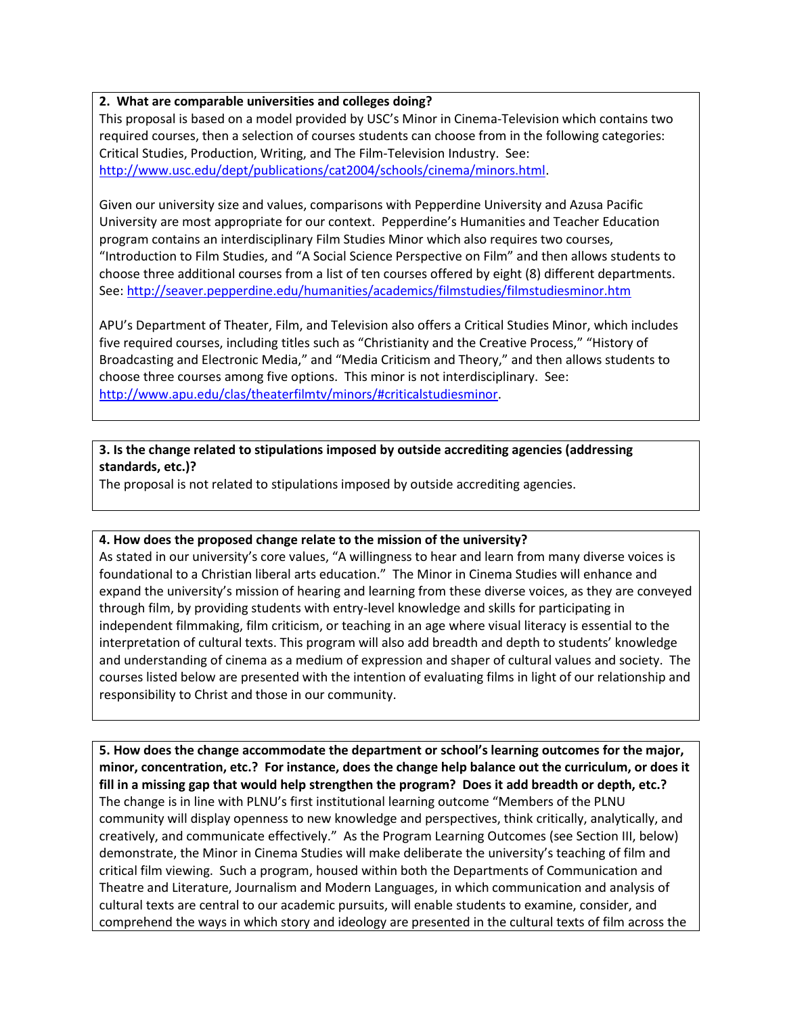## **2. What are comparable universities and colleges doing?**

This proposal is based on a model provided by USC's Minor in Cinema-Television which contains two required courses, then a selection of courses students can choose from in the following categories: Critical Studies, Production, Writing, and The Film-Television Industry. See: [http://www.usc.edu/dept/publications/cat2004/schools/cinema/minors.html.](http://www.usc.edu/dept/publications/cat2004/schools/cinema/minors.html)

Given our university size and values, comparisons with Pepperdine University and Azusa Pacific University are most appropriate for our context. Pepperdine's Humanities and Teacher Education program contains an interdisciplinary Film Studies Minor which also requires two courses, "Introduction to Film Studies, and "A Social Science Perspective on Film" and then allows students to choose three additional courses from a list of ten courses offered by eight (8) different departments. See:<http://seaver.pepperdine.edu/humanities/academics/filmstudies/filmstudiesminor.htm>

APU's Department of Theater, Film, and Television also offers a Critical Studies Minor, which includes five required courses, including titles such as "Christianity and the Creative Process," "History of Broadcasting and Electronic Media," and "Media Criticism and Theory," and then allows students to choose three courses among five options. This minor is not interdisciplinary. See: [http://www.apu.edu/clas/theaterfilmtv/minors/#criticalstudiesminor.](http://www.apu.edu/clas/theaterfilmtv/minors/#criticalstudiesminor)

## **3. Is the change related to stipulations imposed by outside accrediting agencies (addressing standards, etc.)?**

The proposal is not related to stipulations imposed by outside accrediting agencies.

## **4. How does the proposed change relate to the mission of the university?**

As stated in our university's core values, "A willingness to hear and learn from many diverse voices is foundational to a Christian liberal arts education." The Minor in Cinema Studies will enhance and expand the university's mission of hearing and learning from these diverse voices, as they are conveyed through film, by providing students with entry-level knowledge and skills for participating in independent filmmaking, film criticism, or teaching in an age where visual literacy is essential to the interpretation of cultural texts. This program will also add breadth and depth to students' knowledge and understanding of cinema as a medium of expression and shaper of cultural values and society. The courses listed below are presented with the intention of evaluating films in light of our relationship and responsibility to Christ and those in our community.

**5. How does the change accommodate the department or school's learning outcomes for the major, minor, concentration, etc.? For instance, does the change help balance out the curriculum, or does it fill in a missing gap that would help strengthen the program? Does it add breadth or depth, etc.?** The change is in line with PLNU's first institutional learning outcome "Members of the PLNU community will display openness to new knowledge and perspectives, think critically, analytically, and creatively, and communicate effectively." As the Program Learning Outcomes (see Section III, below) demonstrate, the Minor in Cinema Studies will make deliberate the university's teaching of film and critical film viewing. Such a program, housed within both the Departments of Communication and Theatre and Literature, Journalism and Modern Languages, in which communication and analysis of cultural texts are central to our academic pursuits, will enable students to examine, consider, and comprehend the ways in which story and ideology are presented in the cultural texts of film across the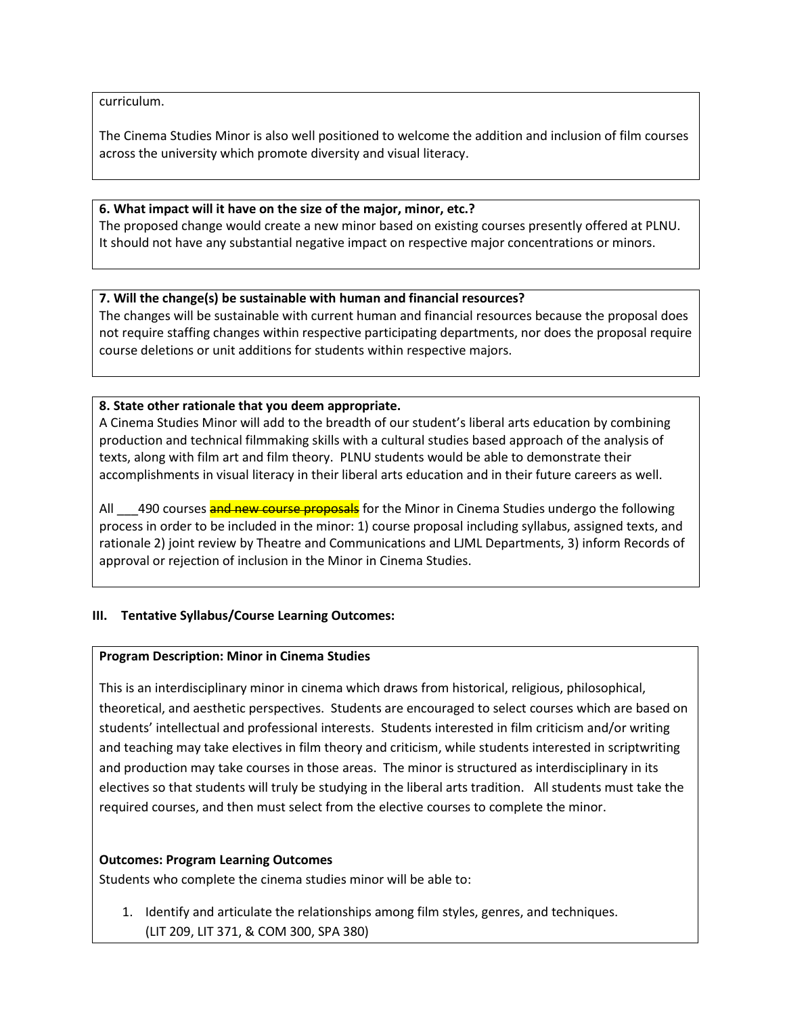curriculum.

The Cinema Studies Minor is also well positioned to welcome the addition and inclusion of film courses across the university which promote diversity and visual literacy.

## **6. What impact will it have on the size of the major, minor, etc.?**

The proposed change would create a new minor based on existing courses presently offered at PLNU. It should not have any substantial negative impact on respective major concentrations or minors.

## **7. Will the change(s) be sustainable with human and financial resources?**

The changes will be sustainable with current human and financial resources because the proposal does not require staffing changes within respective participating departments, nor does the proposal require course deletions or unit additions for students within respective majors.

## **8. State other rationale that you deem appropriate.**

A Cinema Studies Minor will add to the breadth of our student's liberal arts education by combining production and technical filmmaking skills with a cultural studies based approach of the analysis of texts, along with film art and film theory. PLNU students would be able to demonstrate their accomplishments in visual literacy in their liberal arts education and in their future careers as well.

All  $\qquad$  490 courses and new course proposals for the Minor in Cinema Studies undergo the following process in order to be included in the minor: 1) course proposal including syllabus, assigned texts, and rationale 2) joint review by Theatre and Communications and LJML Departments, 3) inform Records of approval or rejection of inclusion in the Minor in Cinema Studies.

## **III. Tentative Syllabus/Course Learning Outcomes:**

## **Program Description: Minor in Cinema Studies**

This is an interdisciplinary minor in cinema which draws from historical, religious, philosophical, theoretical, and aesthetic perspectives. Students are encouraged to select courses which are based on students' intellectual and professional interests. Students interested in film criticism and/or writing and teaching may take electives in film theory and criticism, while students interested in scriptwriting and production may take courses in those areas. The minor is structured as interdisciplinary in its electives so that students will truly be studying in the liberal arts tradition. All students must take the required courses, and then must select from the elective courses to complete the minor.

## **Outcomes: Program Learning Outcomes**

Students who complete the cinema studies minor will be able to:

1. Identify and articulate the relationships among film styles, genres, and techniques. (LIT 209, LIT 371, & COM 300, SPA 380)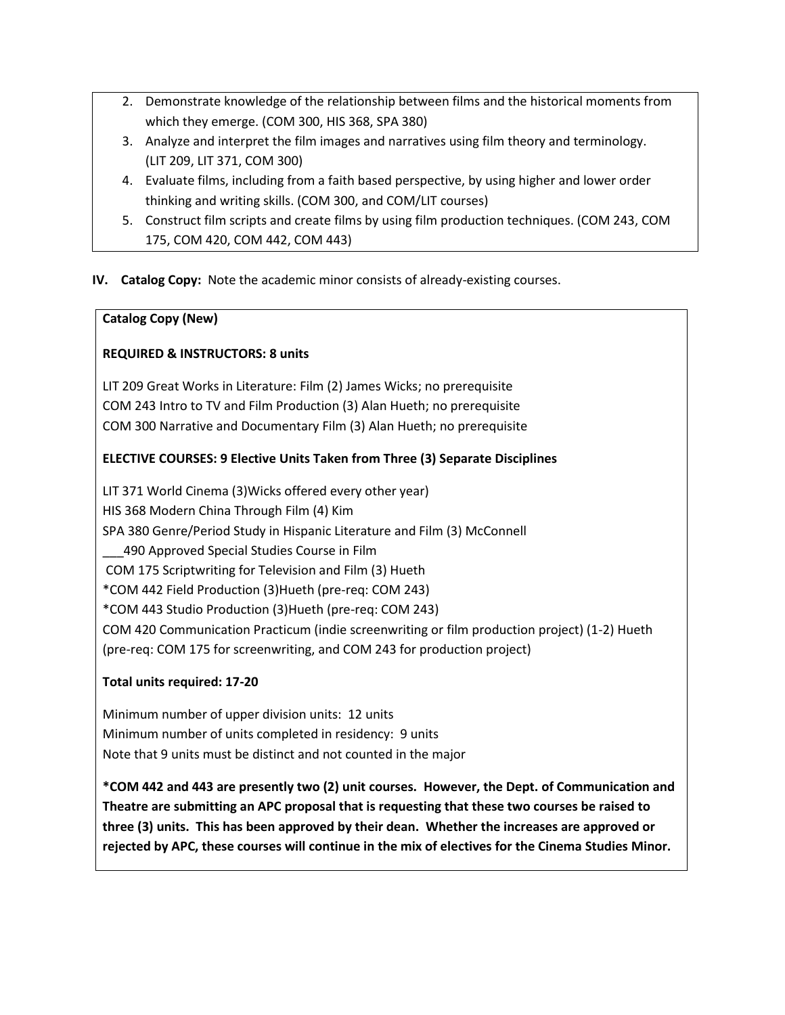- 2. Demonstrate knowledge of the relationship between films and the historical moments from which they emerge. (COM 300, HIS 368, SPA 380)
- 3. Analyze and interpret the film images and narratives using film theory and terminology. (LIT 209, LIT 371, COM 300)
- 4. Evaluate films, including from a faith based perspective, by using higher and lower order thinking and writing skills. (COM 300, and COM/LIT courses)
- 5. Construct film scripts and create films by using film production techniques. (COM 243, COM 175, COM 420, COM 442, COM 443)

## **IV. Catalog Copy:** Note the academic minor consists of already-existing courses.

# **Catalog Copy (New)**

# **REQUIRED & INSTRUCTORS: 8 units**

LIT 209 Great Works in Literature: Film (2) James Wicks; no prerequisite COM 243 Intro to TV and Film Production (3) Alan Hueth; no prerequisite COM 300 Narrative and Documentary Film (3) Alan Hueth; no prerequisite

# **ELECTIVE COURSES: 9 Elective Units Taken from Three (3) Separate Disciplines**

LIT 371 World Cinema (3)Wicks offered every other year) HIS 368 Modern China Through Film (4) Kim SPA 380 Genre/Period Study in Hispanic Literature and Film (3) McConnell \_\_\_490 Approved Special Studies Course in Film COM 175 Scriptwriting for Television and Film (3) Hueth \*COM 442 Field Production (3)Hueth (pre-req: COM 243) \*COM 443 Studio Production (3)Hueth (pre-req: COM 243) COM 420 Communication Practicum (indie screenwriting or film production project) (1-2) Hueth (pre-req: COM 175 for screenwriting, and COM 243 for production project)

## **Total units required: 17-20**

Minimum number of upper division units: 12 units Minimum number of units completed in residency: 9 units Note that 9 units must be distinct and not counted in the major

**\*COM 442 and 443 are presently two (2) unit courses. However, the Dept. of Communication and Theatre are submitting an APC proposal that is requesting that these two courses be raised to three (3) units. This has been approved by their dean. Whether the increases are approved or rejected by APC, these courses will continue in the mix of electives for the Cinema Studies Minor.**